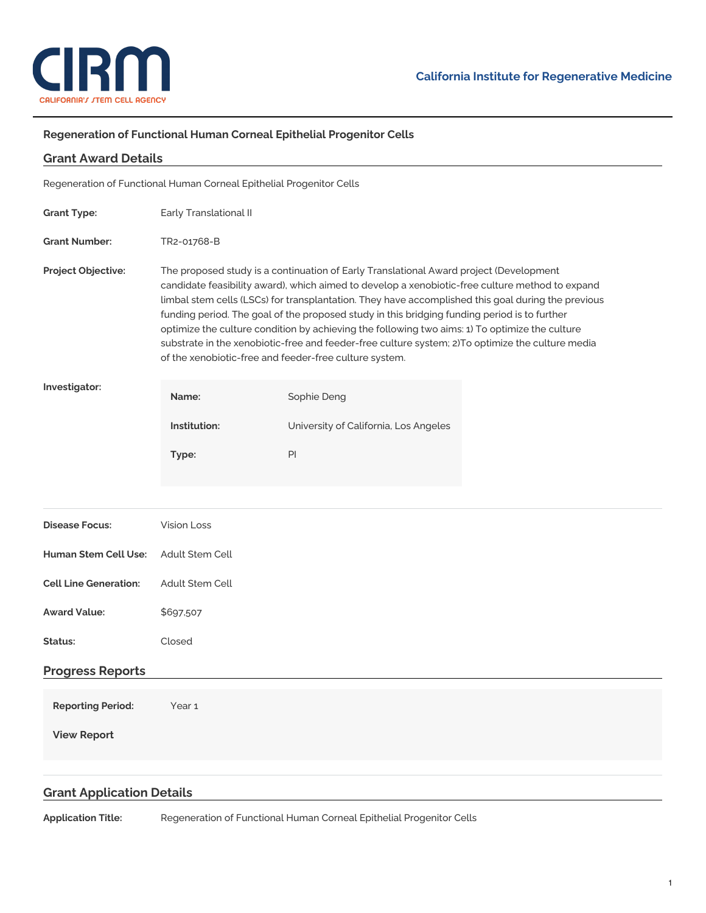

÷,

## **Regeneration of Functional Human Corneal Epithelial Progenitor Cells**

| <b>Grant Award Details</b>                                           |                                                                                                                                                                                                                                                                                                                                                                                                                                                                                                                                                                                                                                                                 |                                       |  |
|----------------------------------------------------------------------|-----------------------------------------------------------------------------------------------------------------------------------------------------------------------------------------------------------------------------------------------------------------------------------------------------------------------------------------------------------------------------------------------------------------------------------------------------------------------------------------------------------------------------------------------------------------------------------------------------------------------------------------------------------------|---------------------------------------|--|
| Regeneration of Functional Human Corneal Epithelial Progenitor Cells |                                                                                                                                                                                                                                                                                                                                                                                                                                                                                                                                                                                                                                                                 |                                       |  |
| <b>Grant Type:</b>                                                   | Early Translational II                                                                                                                                                                                                                                                                                                                                                                                                                                                                                                                                                                                                                                          |                                       |  |
| <b>Grant Number:</b>                                                 | TR2-01768-B                                                                                                                                                                                                                                                                                                                                                                                                                                                                                                                                                                                                                                                     |                                       |  |
| Project Objective:                                                   | The proposed study is a continuation of Early Translational Award project (Development<br>candidate feasibility award), which aimed to develop a xenobiotic-free culture method to expand<br>limbal stem cells (LSCs) for transplantation. They have accomplished this goal during the previous<br>funding period. The goal of the proposed study in this bridging funding period is to further<br>optimize the culture condition by achieving the following two aims: 1) To optimize the culture<br>substrate in the xenobiotic-free and feeder-free culture system; 2)To optimize the culture media<br>of the xenobiotic-free and feeder-free culture system. |                                       |  |
| Investigator:                                                        | Name:                                                                                                                                                                                                                                                                                                                                                                                                                                                                                                                                                                                                                                                           | Sophie Deng                           |  |
|                                                                      | Institution:                                                                                                                                                                                                                                                                                                                                                                                                                                                                                                                                                                                                                                                    | University of California, Los Angeles |  |
|                                                                      | Type:                                                                                                                                                                                                                                                                                                                                                                                                                                                                                                                                                                                                                                                           | PI                                    |  |
|                                                                      |                                                                                                                                                                                                                                                                                                                                                                                                                                                                                                                                                                                                                                                                 |                                       |  |
| <b>Disease Focus:</b>                                                | <b>Vision Loss</b>                                                                                                                                                                                                                                                                                                                                                                                                                                                                                                                                                                                                                                              |                                       |  |
| <b>Human Stem Cell Use:</b>                                          | Adult Stem Cell                                                                                                                                                                                                                                                                                                                                                                                                                                                                                                                                                                                                                                                 |                                       |  |
| <b>Cell Line Generation:</b>                                         | Adult Stem Cell                                                                                                                                                                                                                                                                                                                                                                                                                                                                                                                                                                                                                                                 |                                       |  |
| <b>Award Value:</b>                                                  | \$697,507                                                                                                                                                                                                                                                                                                                                                                                                                                                                                                                                                                                                                                                       |                                       |  |
| Status:                                                              | Closed                                                                                                                                                                                                                                                                                                                                                                                                                                                                                                                                                                                                                                                          |                                       |  |
| <b>Progress Reports</b>                                              |                                                                                                                                                                                                                                                                                                                                                                                                                                                                                                                                                                                                                                                                 |                                       |  |
| <b>Reporting Period:</b>                                             | Year <sub>1</sub>                                                                                                                                                                                                                                                                                                                                                                                                                                                                                                                                                                                                                                               |                                       |  |
| <b>View Report</b>                                                   |                                                                                                                                                                                                                                                                                                                                                                                                                                                                                                                                                                                                                                                                 |                                       |  |
|                                                                      |                                                                                                                                                                                                                                                                                                                                                                                                                                                                                                                                                                                                                                                                 |                                       |  |
| <b>Grant Application Details</b>                                     |                                                                                                                                                                                                                                                                                                                                                                                                                                                                                                                                                                                                                                                                 |                                       |  |
|                                                                      |                                                                                                                                                                                                                                                                                                                                                                                                                                                                                                                                                                                                                                                                 |                                       |  |

**Application Title:** Regeneration of Functional Human Corneal Epithelial Progenitor Cells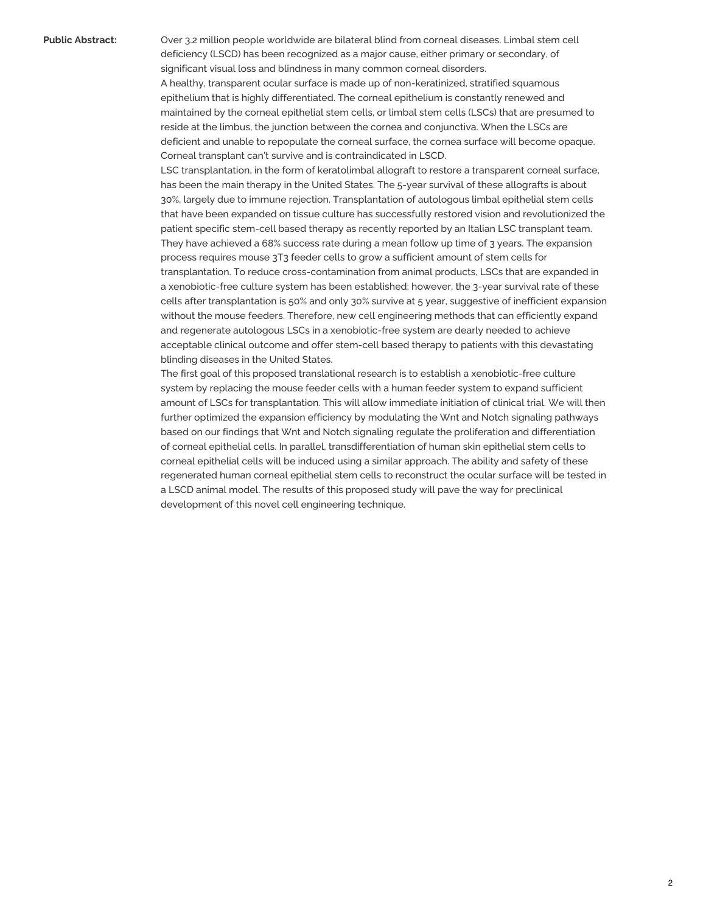**Public Abstract:** Over 3.2 million people worldwide are bilateral blind from corneal diseases. Limbal stem cell deficiency (LSCD) has been recognized as a major cause, either primary or secondary, of significant visual loss and blindness in many common corneal disorders. A healthy, transparent ocular surface is made up of non-keratinized, stratified squamous epithelium that is highly differentiated. The corneal epithelium is constantly renewed and maintained by the corneal epithelial stem cells, or limbal stem cells (LSCs) that are presumed to reside at the limbus, the junction between the cornea and conjunctiva. When the LSCs are deficient and unable to repopulate the corneal surface, the cornea surface will become opaque. Corneal transplant can't survive and is contraindicated in LSCD.

> LSC transplantation, in the form of keratolimbal allograft to restore a transparent corneal surface, has been the main therapy in the United States. The 5-year survival of these allografts is about 30%, largely due to immune rejection. Transplantation of autologous limbal epithelial stem cells that have been expanded on tissue culture has successfully restored vision and revolutionized the patient specific stem-cell based therapy as recently reported by an Italian LSC transplant team. They have achieved a 68% success rate during a mean follow up time of 3 years. The expansion process requires mouse 3T3 feeder cells to grow a sufficient amount of stem cells for transplantation. To reduce cross-contamination from animal products, LSCs that are expanded in a xenobiotic-free culture system has been established; however, the 3-year survival rate of these cells after transplantation is 50% and only 30% survive at 5 year, suggestive of inefficient expansion without the mouse feeders. Therefore, new cell engineering methods that can efficiently expand and regenerate autologous LSCs in a xenobiotic-free system are dearly needed to achieve acceptable clinical outcome and offer stem-cell based therapy to patients with this devastating blinding diseases in the United States.

> The first goal of this proposed translational research is to establish a xenobiotic-free culture system by replacing the mouse feeder cells with a human feeder system to expand sufficient amount of LSCs for transplantation. This will allow immediate initiation of clinical trial. We will then further optimized the expansion efficiency by modulating the Wnt and Notch signaling pathways based on our findings that Wnt and Notch signaling regulate the proliferation and differentiation of corneal epithelial cells. In parallel, transdifferentiation of human skin epithelial stem cells to corneal epithelial cells will be induced using a similar approach. The ability and safety of these regenerated human corneal epithelial stem cells to reconstruct the ocular surface will be tested in a LSCD animal model. The results of this proposed study will pave the way for preclinical development of this novel cell engineering technique.